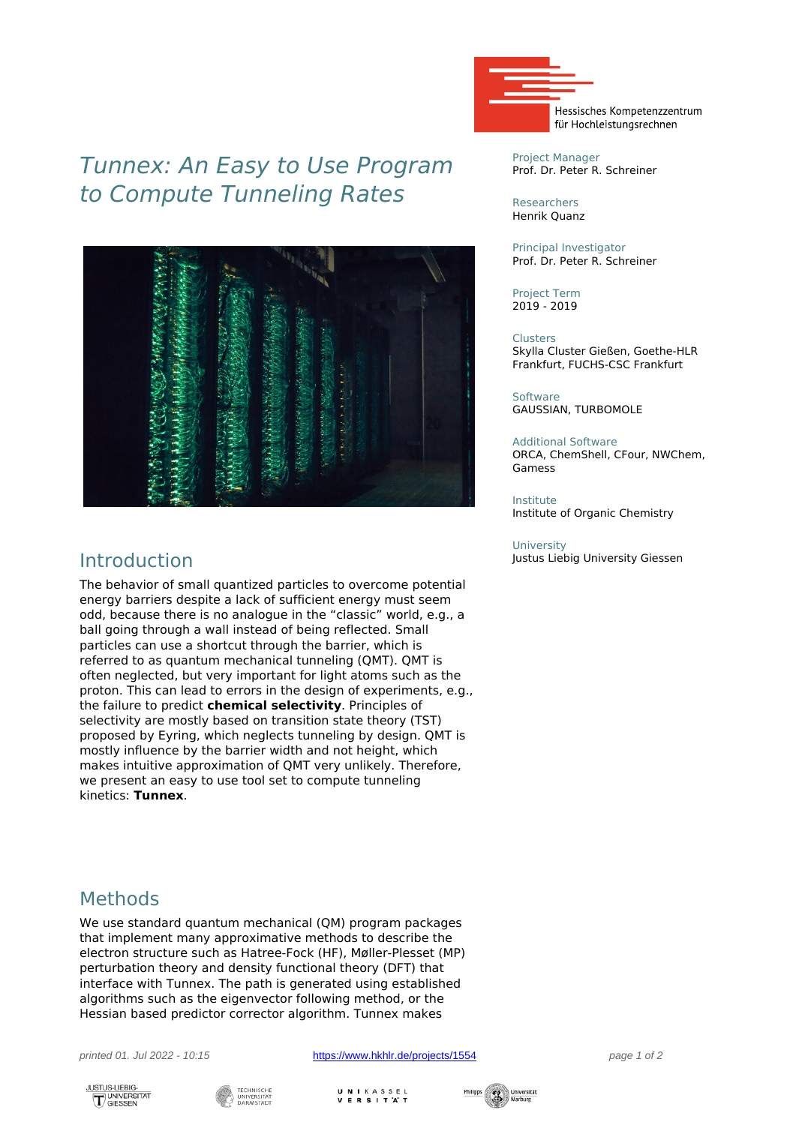# *Tunnex: An Easy to Use Program to Compute Tunneling Rates*



#### Introduction

The behavior of small quantized particles to overcome potential energy barriers despite a lack of sufficient energy must seem odd, because there is no analogue in the "classic" world, e.g., a ball going through a wall instead of being reflected. Small particles can use a shortcut through the barrier, which is referred to as quantum mechanical tunneling (QMT). QMT is often neglected, but very important for light atoms such as the proton. This can lead to errors in the design of experiments, e.g., the failure to predict **chemical selectivity**. Principles of selectivity are mostly based on transition state theory (TST) proposed by Eyring, which neglects tunneling by design. QMT is mostly influence by the barrier width and not height, which makes intuitive approximation of QMT very unlikely. Therefore, we present an easy to use tool set to compute tunneling kinetics: **Tunnex**.



Project Manager Prof. Dr. Peter R. Schreiner

Researchers Henrik Quanz

Principal Investigator Prof. Dr. Peter R. Schreiner

Project Term 2019 - 2019

Clusters Skylla Cluster Gießen, Goethe-HLR Frankfurt, FUCHS-CSC Frankfurt

**Software** GAUSSIAN, TURBOMOLE

Additional Software ORCA, ChemShell, CFour, NWChem, Gamess

Institute Institute of Organic Chemistry

University Justus Liebig University Giessen

#### Methods

We use standard quantum mechanical (QM) program packages that implement many approximative methods to describe the electron structure such as Hatree-Fock (HF), Møller-Plesset (MP) perturbation theory and density functional theory (DFT) that interface with Tunnex. The path is generated using established algorithms such as the eigenvector following method, or the Hessian based predictor corrector algorithm. Tunnex makes

printed 01. Jul 2022 - 10:15 <https://www.hkhlr.de/projects/1554> page 1 of 2

**JUSTUS-LIEBIG-<br>TUNIVERSITAT**<br>GIESSEN